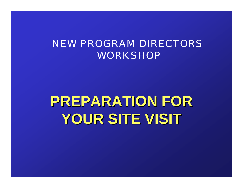#### NEW PROGRAM DIRECTORS **WORKSHOP**

# **PREPARATION FOR PREPARATION FOR YOUR SITE VISIT YOUR SITE VISIT**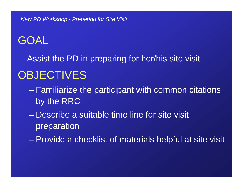## GOAL

Assist the PD in preparing for her/his site visit

### **OBJECTIVES**

- Familiarize the participant with common citations by the RRC
- Describe a suitable time line for site visit preparation
- Provide a checklist of materials helpful at site visit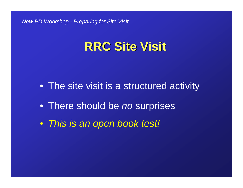### **RRC Site Visit RRC Site Visit**

- The site visit is a structured activity
- There should be *no* surprises
- *This is an open book test!*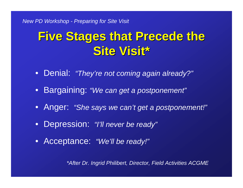## **Five Stages that Precede the Site Visit\* Site Visit\***

- Denial: *"They're not coming again already?"*
- Bargaining: *"We can get a postponement"*
- Anger: *"She says we can't get a postponement!"*
- Depression: *"I'll never be ready"*
- Acceptance: *"We'll be ready!"*

*\*After Dr. Ingrid Philibert, Director, Field Activities ACGME*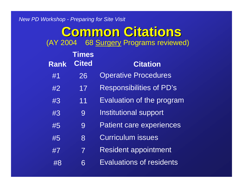#### **Common Citations Common Citations** (AY 2004 68 Surgery Programs reviewed)

| <b>Rank</b> | <b>Times</b><br><b>Cited</b> | <b>Citation</b>                  |  |  |
|-------------|------------------------------|----------------------------------|--|--|
| #1          | 26                           | <b>Operative Procedures</b>      |  |  |
| #2          | 17                           | <b>Responsibilities of PD's</b>  |  |  |
| #3          | 11                           | <b>Evaluation of the program</b> |  |  |
| #3          | 9                            | Institutional support            |  |  |
| #5          | 9                            | <b>Patient care experiences</b>  |  |  |
| #5          | 8                            | <b>Curriculum issues</b>         |  |  |
| #7          | $\overline{\mathcal{I}}$     | <b>Resident appointment</b>      |  |  |
| #8          | 6                            | <b>Evaluations of residents</b>  |  |  |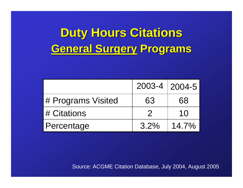## **Duty Hours Citations General Surgery General Surgery Programs Programs**

|                    | $2003 - 4$   2004-5 |          |
|--------------------|---------------------|----------|
| # Programs Visited | 63                  | 68       |
| # Citations        |                     | 10       |
| Percentage         | 3.2%                | $14.7\%$ |

Source: ACGME Citation Database, July 2004, August 2005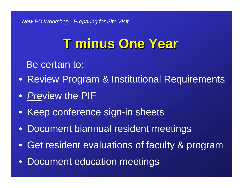## **T minus One Year T minus One Year**

Be certain to:

- Review Program & Institutional Requirements
- *Pre*view the PIF
- $\bullet$ Keep conference sign-in sheets
- $\bullet$ Document biannual resident meetings
- $\bullet$ Get resident evaluations of faculty & program
- $\bullet$ Document education meetings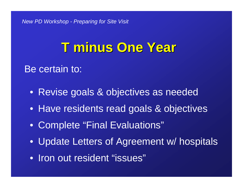## **T minus One Year T minus One Year**

#### Be certain to:

- Revise goals & objectives as needed
- Have residents read goals & objectives
- Complete "Final Evaluations"
- Update Letters of Agreement w/ hospitals
- Iron out resident "issues"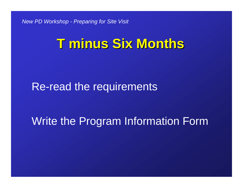## **T minus Six Months**

### Re-read the requirements

#### Write the Program Information Form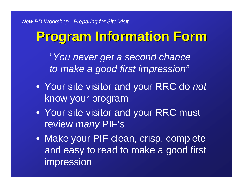## **Program Information Form Program Information Form**

"*You never get a second chance to make a good first impression"*

- Your site visitor and your RRC do *not* know your program
- Your site visitor and your RRC must review *many* PIF's
- Make your PIF clean, crisp, complete and easy to read to make a good first impression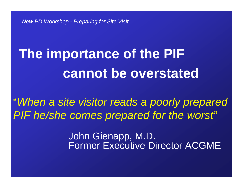# **The importance of the PIF cannot be overstated**

"*When a site visitor reads a poorly prepared PIF he/she comes prepared for the worst"*

> John Gienapp, M.D. Former Executive Director ACGME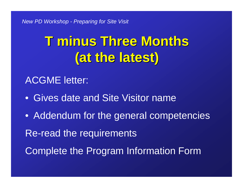# **T minus Three Months T minus Three Months (at the latest) (at the latest)**

#### ACGME letter:

- Gives date and Site Visitor name
- Addendum for the general competencies Re-read the requirements Complete the Program Information Form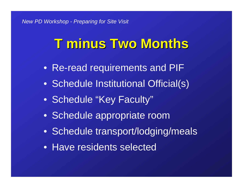# **T minus Two Months T minus Two Months**

- Re-read requirements and PIF
- Schedule Institutional Official(s)
- Schedule "Key Faculty"
- Schedule appropriate room
- Schedule transport/lodging/meals
- Have residents selected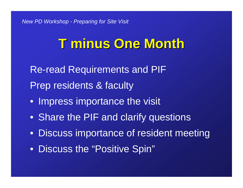## **T minus One Month T minus One Month**

Re-read Requirements and PIF Prep residents & faculty

- Impress importance the visit
- Share the PIF and clarify questions
- Discuss importance of resident meeting
- Discuss the "Positive Spin"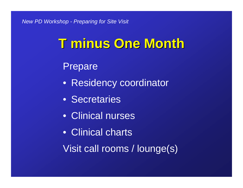## **T minus One Month T minus One Month**

Prepare

- Residency coordinator
- Secretaries
- Clinical nurses
- Clinical charts
- Visit call rooms / lounge(s)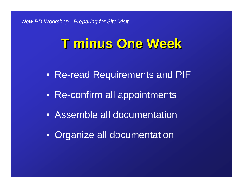## **T minus One Week T minus One Week**

- Re-read Requirements and PIF
- Re-confirm all appointments
- Assemble all documentation
- Organize all documentation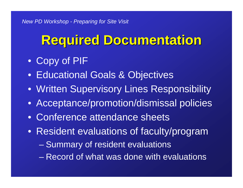## **Required Documentation Required Documentation**

- Copy of PIF
- Educational Goals & Objectives
- Written Supervisory Lines Responsibility
- Acceptance/promotion/dismissal policies
- Conference attendance sheets
- Resident evaluations of faculty/program
	- Summary of resident evaluations
	- Record of what was done with evaluations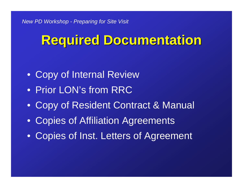## **Required Documentation Required Documentation**

- Copy of Internal Review
- Prior LON's from RRC
- Copy of Resident Contract & Manual
- Copies of Affiliation Agreements
- Copies of Inst. Letters of Agreement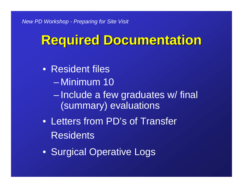## **Required Documentation Required Documentation**

- Resident files
	- Minimum 10
	- $\mathcal{L}_{\mathcal{A}}$  Include a few graduates w/ final (summary) evaluations
- Letters from PD's of Transfer **Residents**
- Surgical Operative Logs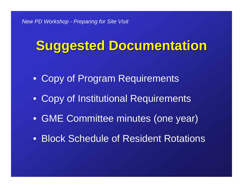## **Suggested Documentation Suggested Documentation**

- Copy of Program Requirements
- Copy of Institutional Requirements
- GME Committee minutes (one year)
- Block Schedule of Resident Rotations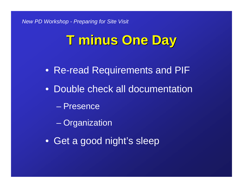## **T minus One Day T minus One Day**

- Re-read Requirements and PIF
- Double check all documentation
	- Presence
	- **Organization**
- Get a good night's sleep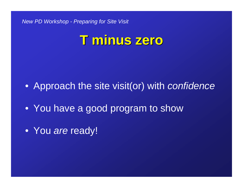## **T minus zero T minus zero**

- Approach the site visit(or) with *confidence*
- You have a good program to show
- You *are* ready!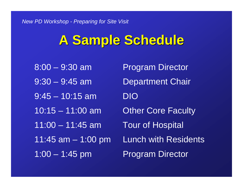## **A Sample Schedule A Sample Schedule**

8:00 – 9:30 am Program Director 9:30 – 9:45 am Department Chair  $9:45 - 10:15$  am DIO 10:15 – 11:00 am Other Core Faculty 11:00 – 11:45 am Tour of Hospital 1:00 – 1:45 pm Program Director

11:45 am – 1:00 pm Lunch with Residents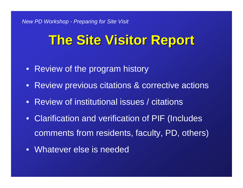## **The Site Visitor Report The Site Visitor Report**

- Review of the program history
- Review previous citations & corrective actions
- Review of institutional issues / citations
- Clarification and verification of PIF (Includes comments from residents, faculty, PD, others)
- Whatever else is needed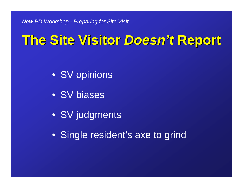## **The Site Visitor The Site Visitor** *Doesn 't* **Report**

- SV opinions
- SV biases
- SV judgments
- Single resident's axe to grind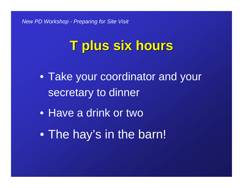## **T plus six hours T plus six hours**

- Take your coordinator and your secretary to dinner
- Have a drink or two
- •The hay's in the barn!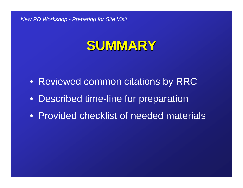## **SUMMARY SUMMARY**

- Reviewed common citations by RRC
- Described time-line for preparation
- Provided checklist of needed materials